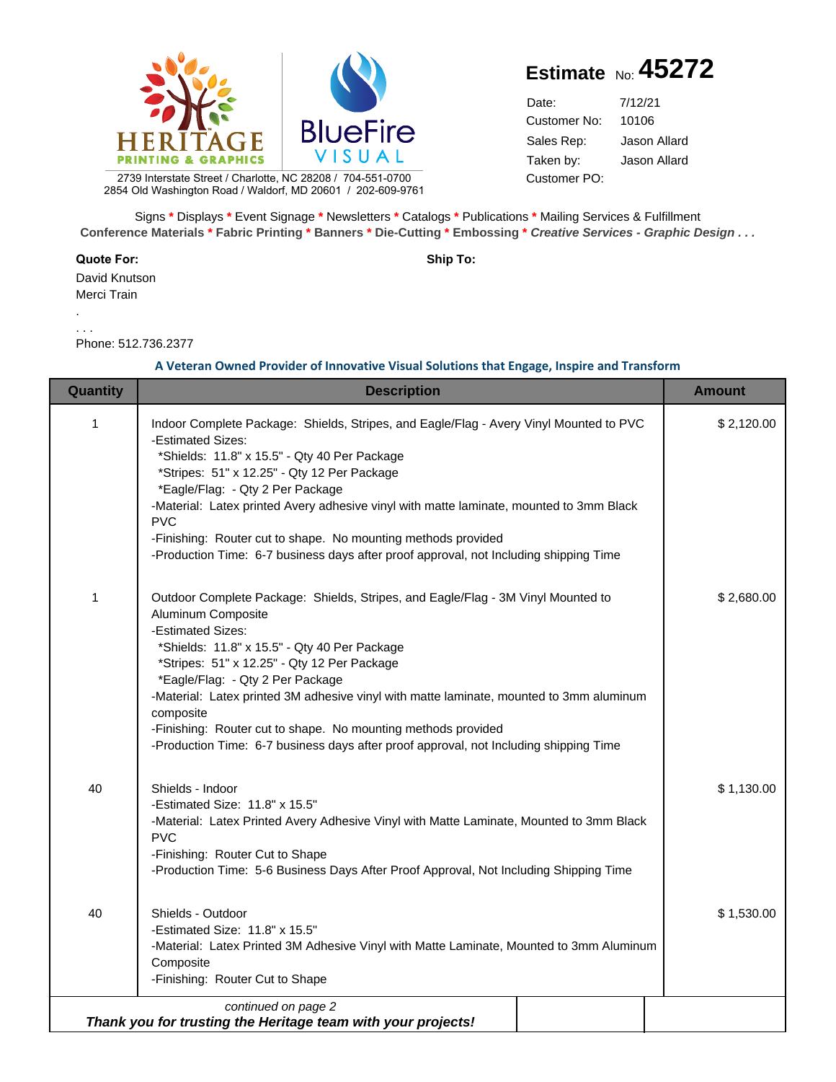

## **Estimate** No: **45272**

Date: Customer PO: 10106 7/12/21 Customer No: Sales Rep: Jason Allard Taken by: Jason Allard

2739 Interstate Street / Charlotte, NC 28208 / 704-551-0700 2854 Old Washington Road / Waldorf, MD 20601 / 202-609-9761

Signs **\*** Displays **\*** Event Signage **\*** Newsletters **\*** Catalogs **\*** Publications **\*** Mailing Services & Fulfillment **Conference Materials \* Fabric Printing \* Banners \* Die-Cutting \* Embossing \* Creative Services - Graphic Design . . .**

**Quote For: Ship To:**

David Knutson Merci Train

. . . .

Phone: 512.736.2377

## **A Veteran Owned Provider of Innovative Visual Solutions that Engage, Inspire and Transform**

| Quantity     | <b>Description</b>                                                                                                                                                                                                                                                                                                                                                                                                                                                                                                               | <b>Amount</b> |
|--------------|----------------------------------------------------------------------------------------------------------------------------------------------------------------------------------------------------------------------------------------------------------------------------------------------------------------------------------------------------------------------------------------------------------------------------------------------------------------------------------------------------------------------------------|---------------|
| $\mathbf{1}$ | Indoor Complete Package: Shields, Stripes, and Eagle/Flag - Avery Vinyl Mounted to PVC<br>-Estimated Sizes:<br>*Shields: 11.8" x 15.5" - Qty 40 Per Package<br>*Stripes: 51" x 12.25" - Qty 12 Per Package<br>*Eagle/Flag: - Qty 2 Per Package<br>-Material: Latex printed Avery adhesive vinyl with matte laminate, mounted to 3mm Black<br><b>PVC</b><br>-Finishing: Router cut to shape. No mounting methods provided<br>-Production Time: 6-7 business days after proof approval, not Including shipping Time                | \$2,120.00    |
| 1            | Outdoor Complete Package: Shields, Stripes, and Eagle/Flag - 3M Vinyl Mounted to<br>Aluminum Composite<br>-Estimated Sizes:<br>*Shields: 11.8" x 15.5" - Qty 40 Per Package<br>*Stripes: 51" x 12.25" - Qty 12 Per Package<br>*Eagle/Flag: - Qty 2 Per Package<br>-Material: Latex printed 3M adhesive vinyl with matte laminate, mounted to 3mm aluminum<br>composite<br>-Finishing: Router cut to shape. No mounting methods provided<br>-Production Time: 6-7 business days after proof approval, not Including shipping Time | \$2,680.00    |
| 40           | Shields - Indoor<br>-Estimated Size: 11.8" x 15.5"<br>-Material: Latex Printed Avery Adhesive Vinyl with Matte Laminate, Mounted to 3mm Black<br><b>PVC</b><br>-Finishing: Router Cut to Shape<br>-Production Time: 5-6 Business Days After Proof Approval, Not Including Shipping Time                                                                                                                                                                                                                                          | \$1,130.00    |
| 40           | Shields - Outdoor<br>-Estimated Size: 11.8" x 15.5"<br>-Material: Latex Printed 3M Adhesive Vinyl with Matte Laminate, Mounted to 3mm Aluminum<br>Composite<br>-Finishing: Router Cut to Shape                                                                                                                                                                                                                                                                                                                                   | \$1,530.00    |
|              | continued on page 2<br>Thank you for trusting the Heritage team with your projects!                                                                                                                                                                                                                                                                                                                                                                                                                                              |               |